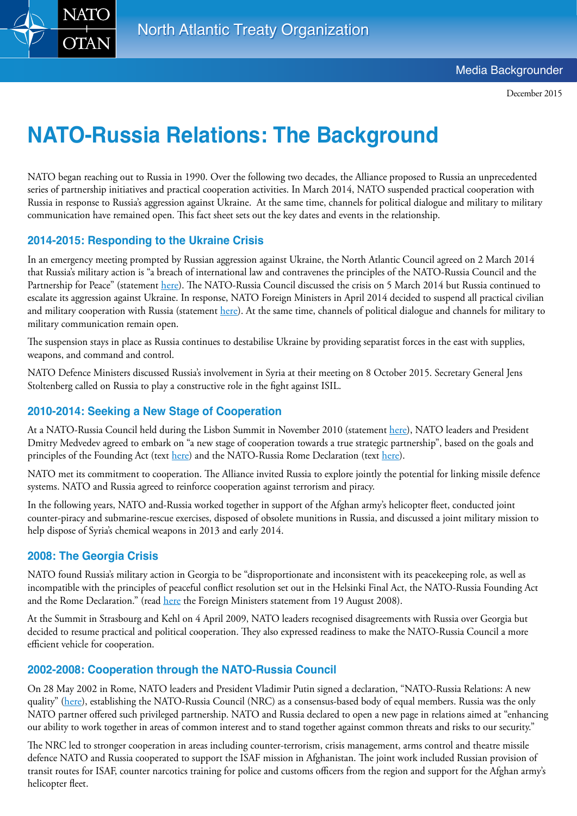

December 2015

# **NATO-Russia Relations: The Background**

NATO began reaching out to Russia in 1990. Over the following two decades, the Alliance proposed to Russia an unprecedented series of partnership initiatives and practical cooperation activities. In March 2014, NATO suspended practical cooperation with Russia in response to Russia's aggression against Ukraine. At the same time, channels for political dialogue and military to military communication have remained open. This fact sheet sets out the key dates and events in the relationship.

# **2014-2015: Responding to the Ukraine Crisis**

In an emergency meeting prompted by Russian aggression against Ukraine, the North Atlantic Council agreed on 2 March 2014 that Russia's military action is "a breach of international law and contravenes the principles of the NATO-Russia Council and the Partnership for Peace" (statement [here](http://www.nato.int/cps/en/natolive/official_texts_107681.htm?selectedLocale=en)). The NATO-Russia Council discussed the crisis on 5 March 2014 but Russia continued to escalate its aggression against Ukraine. In response, NATO Foreign Ministers in April 2014 decided to suspend all practical civilian and military cooperation with Russia (statement [here](http://www.nato.int/cps/en/natolive/news_108501.htm)). At the same time, channels of political dialogue and channels for military to military communication remain open.

The suspension stays in place as Russia continues to destabilise Ukraine by providing separatist forces in the east with supplies, weapons, and command and control.

NATO Defence Ministers discussed Russia's involvement in Syria at their meeting on 8 October 2015. Secretary General Jens Stoltenberg called on Russia to play a constructive role in the fight against ISIL.

## **2010-2014: Seeking a New Stage of Cooperation**

At a NATO-Russia Council held during the Lisbon Summit in November 2010 (statement here), NATO leaders and President Dmitry Medvedev agreed to embark on "a new stage of cooperation towards a true strategic partnership", based on the goals and principles of the Founding Act (text [here](http://www.nato.int/cps/en/natohq/official_texts_25468.htm)) and the NATO-Russia Rome Declaration (text [here](http://www.nato.int/cps/en/natohq/official_texts_19572.htm)).

NATO met its commitment to cooperation. The Alliance invited Russia to explore jointly the potential for linking missile defence systems. NATO and Russia agreed to reinforce cooperation against terrorism and piracy.

In the following years, NATO and-Russia worked together in support of the Afghan army's helicopter fleet, conducted joint counter-piracy and submarine-rescue exercises, disposed of obsolete munitions in Russia, and discussed a joint military mission to help dispose of Syria's chemical weapons in 2013 and early 2014.

### **2008: The Georgia Crisis**

NATO found Russia's military action in Georgia to be "disproportionate and inconsistent with its peacekeeping role, as well as incompatible with the principles of peaceful conflict resolution set out in the Helsinki Final Act, the NATO-Russia Founding Act and the Rome Declaration." (read [here](http://www.nato.int/cps/en/natolive/official_texts_29950.htm?selectedLocale=en) the Foreign Ministers statement from 19 August 2008).

At the Summit in Strasbourg and Kehl on 4 April 2009, NATO leaders recognised disagreements with Russia over Georgia but decided to resume practical and political cooperation. They also expressed readiness to make the NATO-Russia Council a more efficient vehicle for cooperation.

### **2002-2008: Cooperation through the NATO-Russia Council**

On 28 May 2002 in Rome, NATO leaders and President Vladimir Putin signed a declaration, "NATO-Russia Relations: A new quality" [\(here](http://www.nato.int/cps/en/natolive/official_texts_19572.htm?selectedLocale=en)), establishing the NATO-Russia Council (NRC) as a consensus-based body of equal members. Russia was the only NATO partner offered such privileged partnership. NATO and Russia declared to open a new page in relations aimed at "enhancing our ability to work together in areas of common interest and to stand together against common threats and risks to our security."

The NRC led to stronger cooperation in areas including counter-terrorism, crisis management, arms control and theatre missile defence NATO and Russia cooperated to support the ISAF mission in Afghanistan. The joint work included Russian provision of transit routes for ISAF, counter narcotics training for police and customs officers from the region and support for the Afghan army's helicopter fleet.